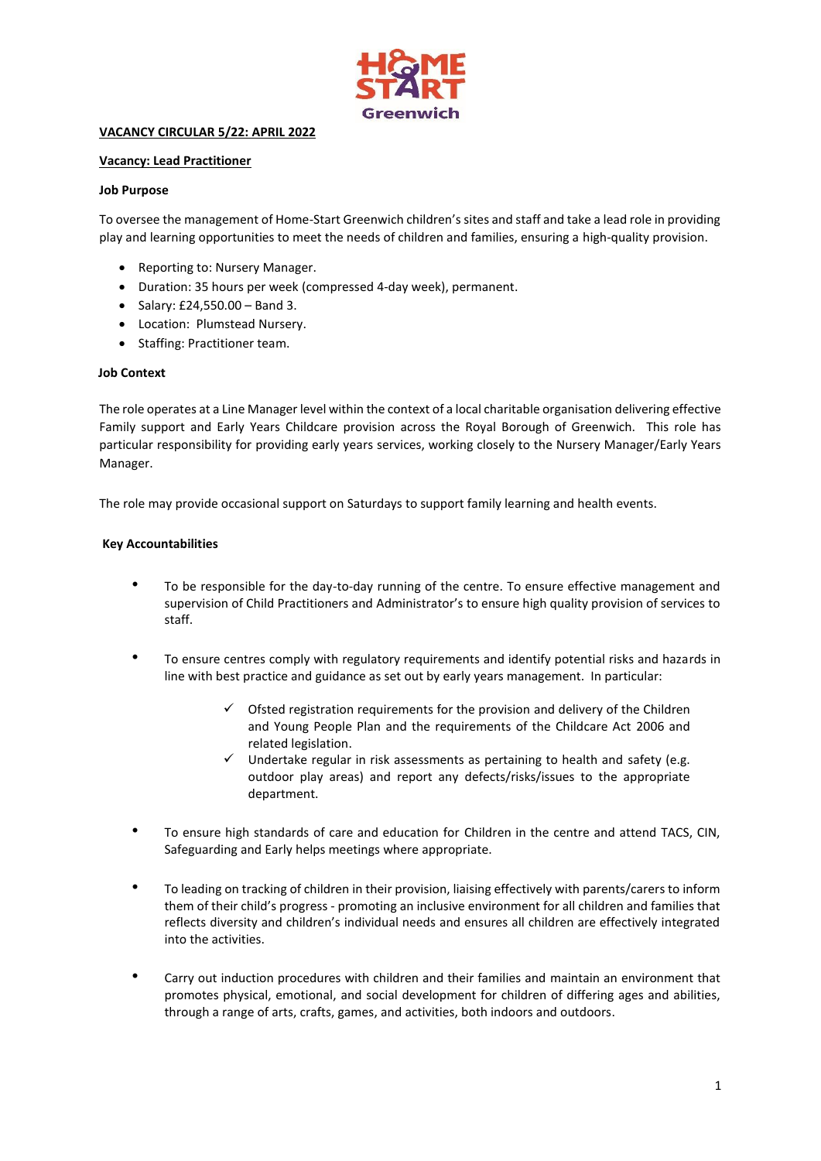

# **VACANCY CIRCULAR 5/22: APRIL 2022**

### **Vacancy: Lead Practitioner**

### **Job Purpose**

To oversee the management of Home-Start Greenwich children's sites and staff and take a lead role in providing play and learning opportunities to meet the needs of children and families, ensuring a high-quality provision.

- Reporting to: Nursery Manager.
- Duration: 35 hours per week (compressed 4-day week), permanent.
- Salary: £24,550.00 Band 3.
- Location:  Plumstead Nursery.
- Staffing: Practitioner team.

## **Job Context**

The role operates at a Line Manager level within the context of a local charitable organisation delivering effective Family support and Early Years Childcare provision across the Royal Borough of Greenwich. This role has particular responsibility for providing early years services, working closely to the Nursery Manager/Early Years Manager.

The role may provide occasional support on Saturdays to support family learning and health events.

#### **Key Accountabilities**

- To be responsible for the day-to-day running of the centre. To ensure effective management and supervision of Child Practitioners and Administrator's to ensure high quality provision of services to staff.
- To ensure centres comply with regulatory requirements and identify potential risks and hazards in line with best practice and guidance as set out by early years management. In particular:
	- Ofsted registration requirements for the provision and delivery of the Children and Young People Plan and the requirements of the Childcare Act 2006 and related legislation.
	- $\checkmark$  Undertake regular in risk assessments as pertaining to health and safety (e.g. outdoor play areas) and report any defects/risks/issues to the appropriate department.
- To ensure high standards of care and education for Children in the centre and attend TACS, CIN, Safeguarding and Early helps meetings where appropriate.
- To leading on tracking of children in their provision, liaising effectively with parents/carers to inform them of their child's progress - promoting an inclusive environment for all children and families that reflects diversity and children's individual needs and ensures all children are effectively integrated into the activities.
- Carry out induction procedures with children and their families and maintain an environment that promotes physical, emotional, and social development for children of differing ages and abilities, through a range of arts, crafts, games, and activities, both indoors and outdoors.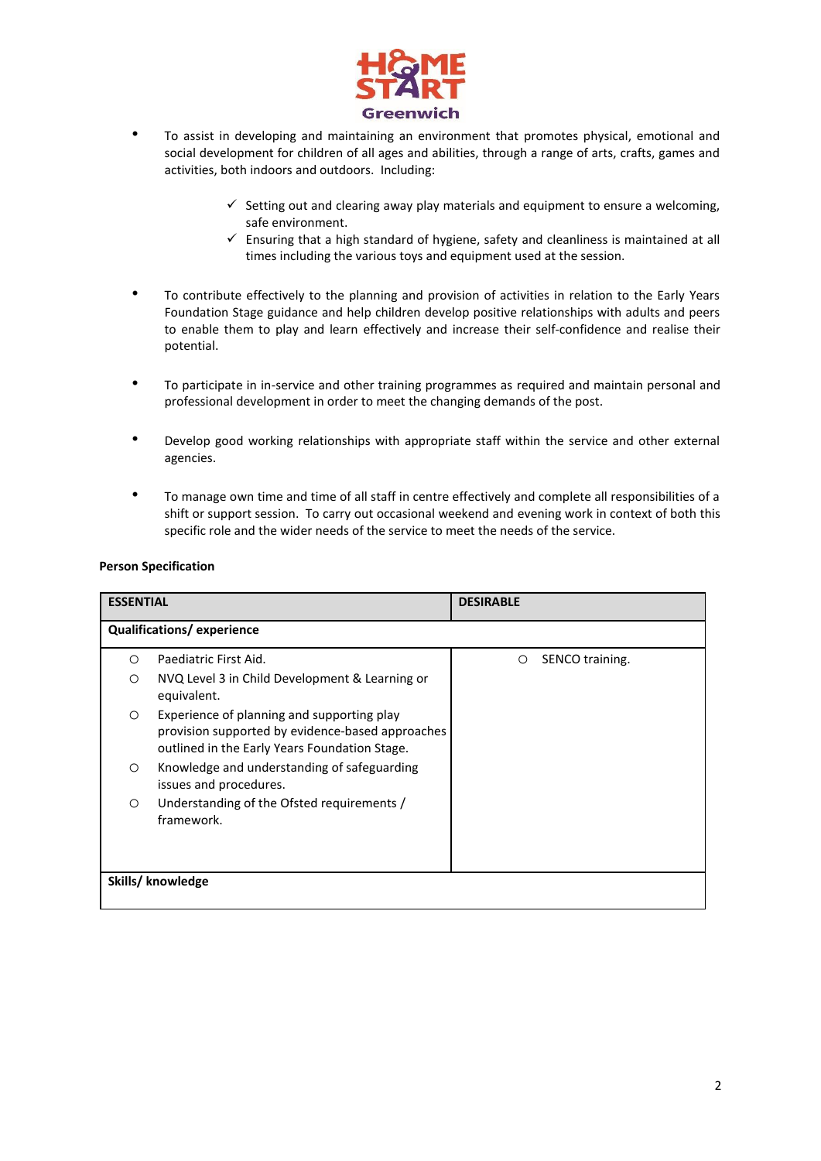

- To assist in developing and maintaining an environment that promotes physical, emotional and social development for children of all ages and abilities, through a range of arts, crafts, games and activities, both indoors and outdoors. Including:
	- $\checkmark$  Setting out and clearing away play materials and equipment to ensure a welcoming. safe environment.
	- $\checkmark$  Ensuring that a high standard of hygiene, safety and cleanliness is maintained at all times including the various toys and equipment used at the session.
- To contribute effectively to the planning and provision of activities in relation to the Early Years Foundation Stage guidance and help children develop positive relationships with adults and peers to enable them to play and learn effectively and increase their self-confidence and realise their potential.
- To participate in in-service and other training programmes as required and maintain personal and professional development in order to meet the changing demands of the post.
- Develop good working relationships with appropriate staff within the service and other external agencies.
- To manage own time and time of all staff in centre effectively and complete all responsibilities of a shift or support session. To carry out occasional weekend and evening work in context of both this specific role and the wider needs of the service to meet the needs of the service.

## **Person Specification**

| <b>ESSENTIAL</b>          |                                                                                                                                                 | <b>DESIRABLE</b> |                 |  |  |
|---------------------------|-------------------------------------------------------------------------------------------------------------------------------------------------|------------------|-----------------|--|--|
| Qualifications/experience |                                                                                                                                                 |                  |                 |  |  |
| $\circ$                   | Paediatric First Aid.                                                                                                                           | O                | SENCO training. |  |  |
| $\circ$                   | NVQ Level 3 in Child Development & Learning or<br>equivalent.                                                                                   |                  |                 |  |  |
| $\circ$                   | Experience of planning and supporting play<br>provision supported by evidence-based approaches<br>outlined in the Early Years Foundation Stage. |                  |                 |  |  |
| $\circ$                   | Knowledge and understanding of safeguarding<br>issues and procedures.                                                                           |                  |                 |  |  |
| $\circ$                   | Understanding of the Ofsted requirements /<br>framework.                                                                                        |                  |                 |  |  |
| Skills/ knowledge         |                                                                                                                                                 |                  |                 |  |  |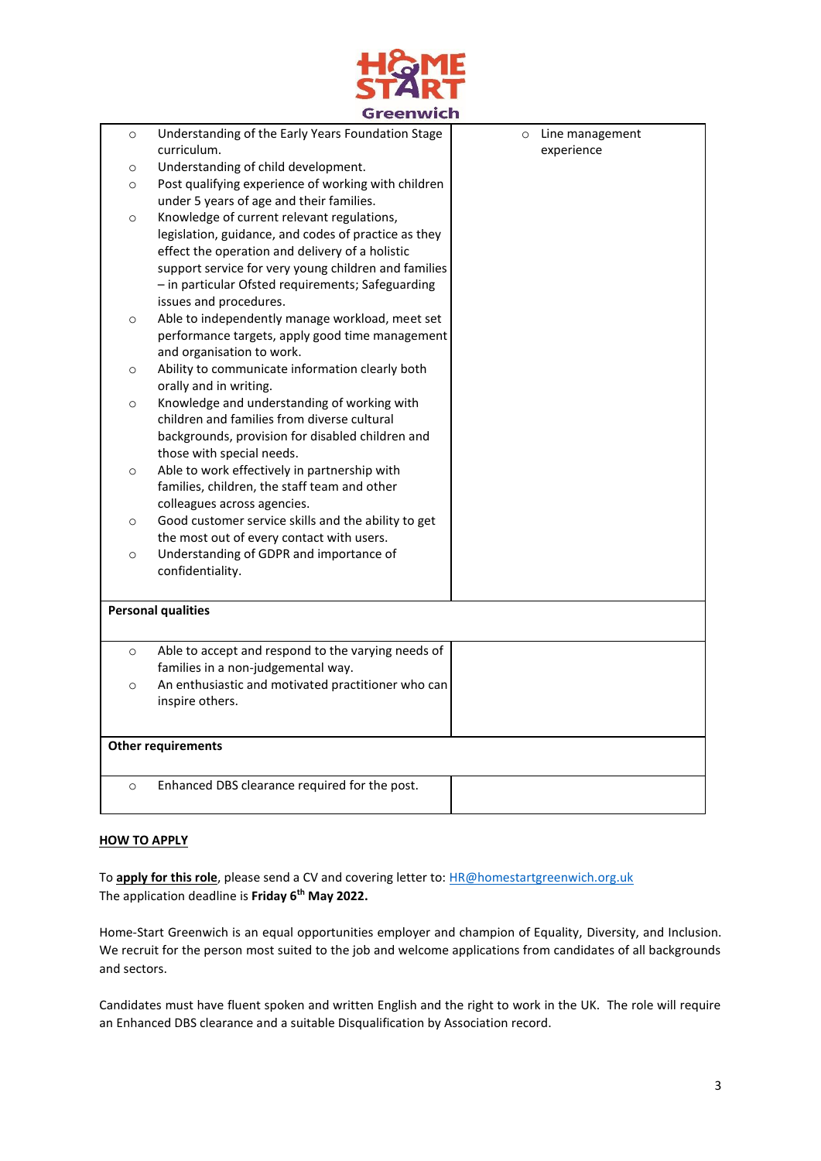

|                           | Greenwich                                            |         |                 |  |  |
|---------------------------|------------------------------------------------------|---------|-----------------|--|--|
| $\circ$                   | Understanding of the Early Years Foundation Stage    | $\circ$ | Line management |  |  |
|                           | curriculum.                                          |         | experience      |  |  |
| $\circ$                   | Understanding of child development.                  |         |                 |  |  |
| $\circ$                   | Post qualifying experience of working with children  |         |                 |  |  |
|                           | under 5 years of age and their families.             |         |                 |  |  |
| $\circ$                   | Knowledge of current relevant regulations,           |         |                 |  |  |
|                           | legislation, guidance, and codes of practice as they |         |                 |  |  |
|                           | effect the operation and delivery of a holistic      |         |                 |  |  |
|                           | support service for very young children and families |         |                 |  |  |
|                           | - in particular Ofsted requirements; Safeguarding    |         |                 |  |  |
|                           | issues and procedures.                               |         |                 |  |  |
| $\circ$                   | Able to independently manage workload, meet set      |         |                 |  |  |
|                           | performance targets, apply good time management      |         |                 |  |  |
|                           | and organisation to work.                            |         |                 |  |  |
| $\circ$                   | Ability to communicate information clearly both      |         |                 |  |  |
|                           | orally and in writing.                               |         |                 |  |  |
| $\circ$                   | Knowledge and understanding of working with          |         |                 |  |  |
|                           | children and families from diverse cultural          |         |                 |  |  |
|                           | backgrounds, provision for disabled children and     |         |                 |  |  |
|                           | those with special needs.                            |         |                 |  |  |
| $\circ$                   | Able to work effectively in partnership with         |         |                 |  |  |
|                           | families, children, the staff team and other         |         |                 |  |  |
|                           | colleagues across agencies.                          |         |                 |  |  |
| $\circ$                   | Good customer service skills and the ability to get  |         |                 |  |  |
|                           | the most out of every contact with users.            |         |                 |  |  |
| $\circ$                   | Understanding of GDPR and importance of              |         |                 |  |  |
|                           | confidentiality.                                     |         |                 |  |  |
|                           |                                                      |         |                 |  |  |
| <b>Personal qualities</b> |                                                      |         |                 |  |  |
|                           |                                                      |         |                 |  |  |
| $\circ$                   | Able to accept and respond to the varying needs of   |         |                 |  |  |
|                           | families in a non-judgemental way.                   |         |                 |  |  |
| $\circ$                   | An enthusiastic and motivated practitioner who can   |         |                 |  |  |
|                           | inspire others.                                      |         |                 |  |  |
|                           |                                                      |         |                 |  |  |
| <b>Other requirements</b> |                                                      |         |                 |  |  |
|                           |                                                      |         |                 |  |  |
| $\circ$                   | Enhanced DBS clearance required for the post.        |         |                 |  |  |
|                           |                                                      |         |                 |  |  |
|                           |                                                      |         |                 |  |  |

# **HOW TO APPLY**

To **apply for this role**, please send a CV and covering letter to: [HR@homestartgreenwich.org.uk](mailto:HR@homestartgreenwich.org.uk) The application deadline is **Friday 6th May 2022.**

Home-Start Greenwich is an equal opportunities employer and champion of Equality, Diversity, and Inclusion. We recruit for the person most suited to the job and welcome applications from candidates of all backgrounds and sectors.

Candidates must have fluent spoken and written English and the right to work in the UK. The role will require an Enhanced DBS clearance and a suitable Disqualification by Association record.